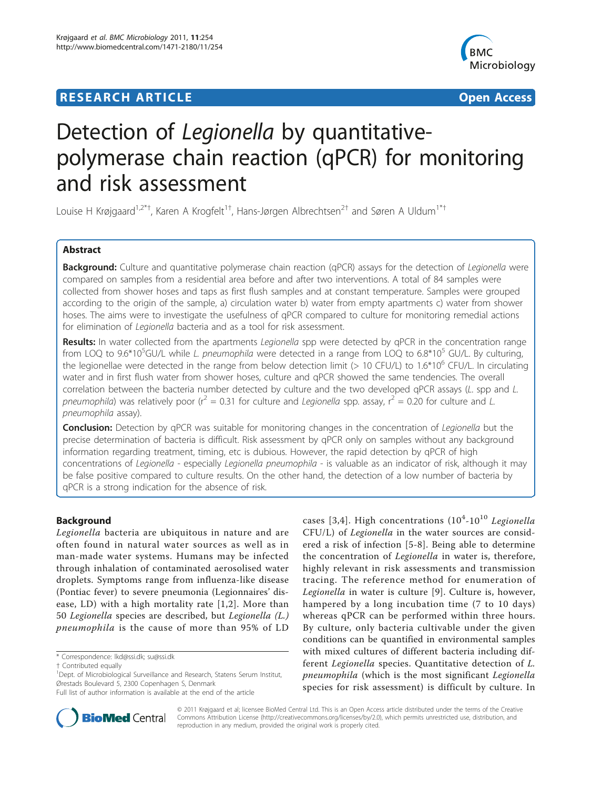# **RESEARCH ARTICLE Example 2014 CONSUMING ACCESS**



# Detection of Legionella by quantitativepolymerase chain reaction (qPCR) for monitoring and risk assessment

Louise H Krøjgaard<sup>1,2\*†</sup>, Karen A Krogfelt<sup>1†</sup>, Hans-Jørgen Albrechtsen<sup>2†</sup> and Søren A Uldum<sup>1\*†</sup>

# Abstract

Background: Culture and quantitative polymerase chain reaction (qPCR) assays for the detection of Legionella were compared on samples from a residential area before and after two interventions. A total of 84 samples were collected from shower hoses and taps as first flush samples and at constant temperature. Samples were grouped according to the origin of the sample, a) circulation water b) water from empty apartments c) water from shower hoses. The aims were to investigate the usefulness of qPCR compared to culture for monitoring remedial actions for elimination of Legionella bacteria and as a tool for risk assessment.

Results: In water collected from the apartments Legionella spp were detected by qPCR in the concentration range from LOQ to 9.6\*10<sup>5</sup>GU/L while L. pneumophila were detected in a range from LOQ to 6.8\*10<sup>5</sup> GU/L. By culturing, the legionellae were detected in the range from below detection limit ( $> 10$  CFU/L) to 1.6\*10<sup>6</sup> CFU/L. In circulating water and in first flush water from shower hoses, culture and qPCR showed the same tendencies. The overall correlation between the bacteria number detected by culture and the two developed qPCR assays (L. spp and L. pneumophila) was relatively poor ( $r^2 = 0.31$  for culture and Legionella spp. assay,  $r^2 = 0.20$  for culture and L. pneumophila assay).

**Conclusion:** Detection by qPCR was suitable for monitoring changes in the concentration of Legionella but the precise determination of bacteria is difficult. Risk assessment by qPCR only on samples without any background information regarding treatment, timing, etc is dubious. However, the rapid detection by qPCR of high concentrations of Legionella - especially Legionella pneumophila - is valuable as an indicator of risk, although it may be false positive compared to culture results. On the other hand, the detection of a low number of bacteria by qPCR is a strong indication for the absence of risk.

# Background

Legionella bacteria are ubiquitous in nature and are often found in natural water sources as well as in man-made water systems. Humans may be infected through inhalation of contaminated aerosolised water droplets. Symptoms range from influenza-like disease (Pontiac fever) to severe pneumonia (Legionnaires' disease, LD) with a high mortality rate [[1](#page-5-0),[2\]](#page-5-0). More than <sup>50</sup> Legionella species are described, but Legionella (L.) pneumophila is the cause of more than 95% of LD

cases [[3,4](#page-5-0)]. High concentrations  $(10^4 \text{-} 10^{10} \text{ Legendula})$ <br>CEU(1) of Legionalla in the water sources are considered. CFU/L) of Legionella in the water sources are considered a risk of infection [[5](#page-5-0)-[8](#page-6-0)]. Being able to determine the concentration of Legionella in water is, therefore, highly relevant in risk assessments and transmission tracing. The reference method for enumeration of Legionella in water is culture [[9\]](#page-6-0). Culture is, however, hampered by a long incubation time (7 to 10 days) whereas qPCR can be performed within three hours. By culture, only bacteria cultivable under the given conditions can be quantified in environmental samples with mixed cultures of different bacteria including different Legionella species. Quantitative detection of L. pneumophila (which is the most significant Legionella species for risk assessment) is difficult by culture. In



© 2011 Krøjgaard et al; licensee BioMed Central Ltd. This is an Open Access article distributed under the terms of the Creative Commons Attribution License [\(http://creativecommons.org/licenses/by/2.0](http://creativecommons.org/licenses/by/2.0)), which permits unrestricted use, distribution, and reproduction in any medium, provided the original work is properly cited.

<sup>\*</sup> Correspondence: [lkd@ssi.dk;](mailto:lkd@ssi.dk) [su@ssi.dk](mailto:su@ssi.dk)

<sup>†</sup> Contributed equally <sup>1</sup>

<sup>&</sup>lt;sup>1</sup>Dept. of Microbiological Surveillance and Research, Statens Serum Institut, Ørestads Boulevard 5, 2300 Copenhagen S, Denmark

Full list of author information is available at the end of the article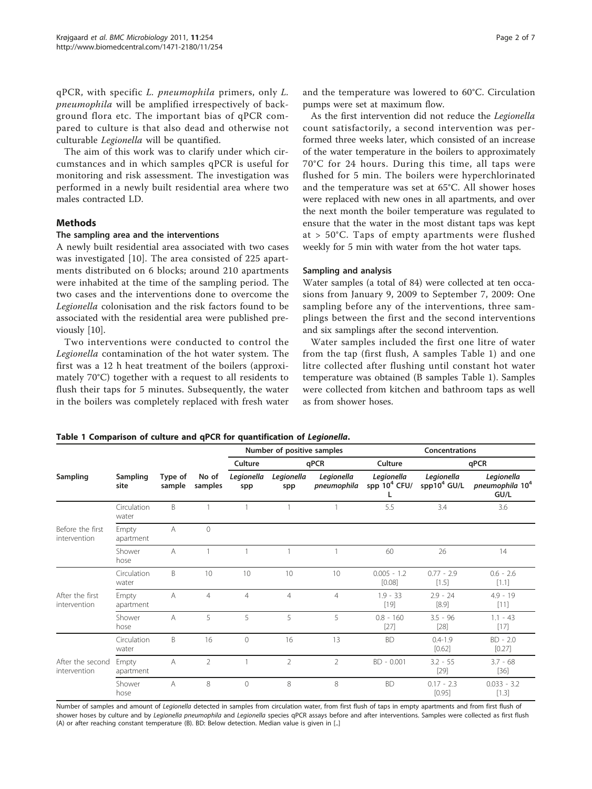<span id="page-1-0"></span>qPCR, with specific L. pneumophila primers, only L. pneumophila will be amplified irrespectively of background flora etc. The important bias of qPCR compared to culture is that also dead and otherwise not culturable Legionella will be quantified.

The aim of this work was to clarify under which circumstances and in which samples qPCR is useful for monitoring and risk assessment. The investigation was performed in a newly built residential area where two males contracted LD.

# Methods

### The sampling area and the interventions

A newly built residential area associated with two cases was investigated [\[10](#page-6-0)]. The area consisted of 225 apartments distributed on 6 blocks; around 210 apartments were inhabited at the time of the sampling period. The two cases and the interventions done to overcome the Legionella colonisation and the risk factors found to be associated with the residential area were published previously [\[10\]](#page-6-0).

Two interventions were conducted to control the Legionella contamination of the hot water system. The first was a 12 h heat treatment of the boilers (approximately 70°C) together with a request to all residents to flush their taps for 5 minutes. Subsequently, the water in the boilers was completely replaced with fresh water and the temperature was lowered to 60°C. Circulation pumps were set at maximum flow.

As the first intervention did not reduce the Legionella count satisfactorily, a second intervention was performed three weeks later, which consisted of an increase of the water temperature in the boilers to approximately 70°C for 24 hours. During this time, all taps were flushed for 5 min. The boilers were hyperchlorinated and the temperature was set at 65°C. All shower hoses were replaced with new ones in all apartments, and over the next month the boiler temperature was regulated to ensure that the water in the most distant taps was kept at > 50°C. Taps of empty apartments were flushed weekly for 5 min with water from the hot water taps.

#### Sampling and analysis

Water samples (a total of 84) were collected at ten occasions from January 9, 2009 to September 7, 2009: One sampling before any of the interventions, three samplings between the first and the second interventions and six samplings after the second intervention.

Water samples included the first one litre of water from the tap (first flush, A samples Table 1) and one litre collected after flushing until constant hot water temperature was obtained (B samples Table 1). Samples were collected from kitchen and bathroom taps as well as from shower hoses.

| Table 1 Comparison of culture and qPCR for quantification of Legionella. |  |  |  |  |   |  |
|--------------------------------------------------------------------------|--|--|--|--|---|--|
|                                                                          |  |  |  |  | . |  |

|                                  | Sampling<br>site     | Type of<br>sample | No of<br>samples |                   | Number of positive samples |                           | <b>Concentrations</b>         |                                       |                                                   |  |
|----------------------------------|----------------------|-------------------|------------------|-------------------|----------------------------|---------------------------|-------------------------------|---------------------------------------|---------------------------------------------------|--|
| Sampling                         |                      |                   |                  | Culture           |                            | qPCR                      | Culture                       | qPCR                                  |                                                   |  |
|                                  |                      |                   |                  | Legionella<br>spp | Legionella<br>spp          | Legionella<br>pneumophila | Legionella<br>spp $10^4$ CFU/ | Legionella<br>spp10 <sup>4</sup> GU/L | Legionella<br>pneumophila 10 <sup>4</sup><br>GU/L |  |
|                                  | Circulation<br>water | B                 |                  |                   |                            | 1                         | 5.5                           | 3.4                                   | 3.6                                               |  |
| Before the first<br>intervention | Empty<br>apartment   | $\overline{A}$    | $\circ$          |                   |                            |                           |                               |                                       |                                                   |  |
|                                  | Shower<br>hose       | $\overline{A}$    | $\mathbf{1}$     |                   | $\mathbf{1}$               | $\mathbf{1}$              | 60                            | 26                                    | 14                                                |  |
|                                  | Circulation<br>water | B                 | 10               | 10                | 10                         | 10                        | $0.005 - 1.2$<br>[0.08]       | $0.77 - 2.9$<br>$[1.5]$               | $0.6 - 2.6$<br>$[1.1]$                            |  |
| After the first<br>intervention  | Empty<br>apartment   | A                 | $\overline{4}$   | $\overline{4}$    | $\overline{4}$             | $\overline{4}$            | $1.9 - 33$<br>$[19]$          | $2.9 - 24$<br>$[8.9]$                 | $4.9 - 19$<br>[11]                                |  |
|                                  | Shower<br>hose       | A                 | 5                | 5                 | 5                          | 5                         | $0.8 - 160$<br>$[27]$         | $3.5 - 96$<br>$[28]$                  | $1.1 - 43$<br>[17]                                |  |
|                                  | Circulation<br>water | B                 | 16               | $\mathbf 0$       | 16                         | 13                        | <b>BD</b>                     | $0.4 - 1.9$<br>$[0.62]$               | $BD - 2.0$<br>[0.27]                              |  |
| After the second<br>intervention | Empty<br>apartment   | A                 | $\overline{2}$   |                   | $\overline{2}$             | $\overline{2}$            | BD - 0.001                    | $3.2 - 55$<br>$[29]$                  | $3.7 - 68$<br>$[36]$                              |  |
|                                  | Shower<br>hose       | A                 | 8                | $\Omega$          | 8                          | 8                         | <b>BD</b>                     | $0.17 - 2.3$<br>[0.95]                | $0.033 - 3.2$<br>$[1.3]$                          |  |

Number of samples and amount of Legionella detected in samples from circulation water, from first flush of taps in empty apartments and from first flush of shower hoses by culture and by Legionella pneumophila and Legionella species qPCR assays before and after interventions. Samples were collected as first flush (A) or after reaching constant temperature (B). BD: Below detection. Median value is given in [..]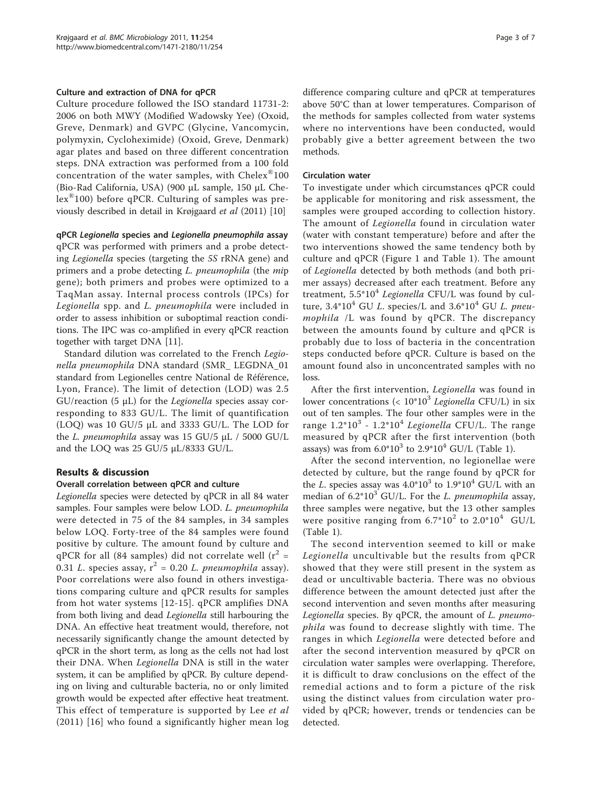#### Culture and extraction of DNA for qPCR

Culture procedure followed the ISO standard 11731-2: 2006 on both MWY (Modified Wadowsky Yee) (Oxoid, Greve, Denmark) and GVPC (Glycine, Vancomycin, polymyxin, Cycloheximide) (Oxoid, Greve, Denmark) agar plates and based on three different concentration steps. DNA extraction was performed from a 100 fold concentration of the water samples, with  $Chelex^{\omega}100$ (Bio-Rad California, USA) (900 μL sample, 150 μL Che $lex^{\mathcal{B}}100$ ) before qPCR. Culturing of samples was previously described in detail in Krøjgaard et al (2011) [[10](#page-6-0)]

#### qPCR Legionella species and Legionella pneumophila assay

qPCR was performed with primers and a probe detecting Legionella species (targeting the 5S rRNA gene) and primers and a probe detecting L. pneumophila (the mi<sup>p</sup> gene); both primers and probes were optimized to a TaqMan assay. Internal process controls (IPCs) for Legionella spp. and L. pneumophila were included in order to assess inhibition or suboptimal reaction conditions. The IPC was co-amplified in every qPCR reaction together with target DNA [\[11](#page-6-0)].

Standard dilution was correlated to the French Legionella pneumophila DNA standard (SMR\_ LEGDNA\_01 standard from Legionelles centre National de Référence, Lyon, France). The limit of detection (LOD) was 2.5 GU/reaction (5  $\mu$ L) for the *Legionella* species assay corresponding to 833 GU/L. The limit of quantification (LOQ) was 10 GU/5 μL and 3333 GU/L. The LOD for the L. pneumophila assay was 15 GU/5 <sup>μ</sup>L / 5000 GU/L and the LOQ was 25 GU/5 μL/8333 GU/L.

#### Results & discussion

#### Overall correlation between qPCR and culture

Legionella species were detected by qPCR in all 84 water samples. Four samples were below LOD. L. pneumophila were detected in 75 of the 84 samples, in 34 samples below LOQ. Forty-tree of the 84 samples were found positive by culture. The amount found by culture and qPCR for all (84 samples) did not correlate well ( $r^2$  = 0.31 L. species assay,  $r^2 = 0.20$  L. pneumophila assay). Poor correlations were also found in others investigations comparing culture and qPCR results for samples from hot water systems [\[12-15\]](#page-6-0). qPCR amplifies DNA from both living and dead Legionella still harbouring the DNA. An effective heat treatment would, therefore, not necessarily significantly change the amount detected by qPCR in the short term, as long as the cells not had lost their DNA. When Legionella DNA is still in the water system, it can be amplified by qPCR. By culture depending on living and culturable bacteria, no or only limited growth would be expected after effective heat treatment. This effect of temperature is supported by Lee et al (2011) [[16\]](#page-6-0) who found a significantly higher mean log difference comparing culture and qPCR at temperatures above 50°C than at lower temperatures. Comparison of the methods for samples collected from water systems where no interventions have been conducted, would probably give a better agreement between the two methods.

#### Circulation water

To investigate under which circumstances qPCR could be applicable for monitoring and risk assessment, the samples were grouped according to collection history. The amount of Legionella found in circulation water (water with constant temperature) before and after the two interventions showed the same tendency both by culture and qPCR (Figure [1](#page-3-0) and Table [1](#page-1-0)). The amount of Legionella detected by both methods (and both primer assays) decreased after each treatment. Before any treatment,  $5.5^*10^4$  Legionella CFU/L was found by culture,  $3.4*10<sup>4</sup>$  GU L. species/L and  $3.6*10<sup>4</sup>$  GU L. pneumophila /L was found by qPCR. The discrepancy between the amounts found by culture and qPCR is probably due to loss of bacteria in the concentration steps conducted before qPCR. Culture is based on the amount found also in unconcentrated samples with no loss.

After the first intervention, Legionella was found in lower concentrations (<  $10^{\circ}10^3$  *Legionella* CFU/L) in six out of ten samples. The four other samples were in the range  $1.2*10^3$  -  $1.2*10^4$  Legionella CFU/L. The range measured by qPCR after the first intervention (both assays) was from  $6.0*10^3$  to  $2.9*10^4$  GU/L (Table [1](#page-1-0)).

After the second intervention, no legionellae were detected by culture, but the range found by qPCR for the L. species assay was  $4.0*10^3$  to  $1.9*10^4$  GU/L with an median of  $6.2*10^3$  GU/L. For the L. pneumophila assay, three samples were negative, but the 13 other samples were positive ranging from  $6.7*10^2$  to  $2.0*10^4$  GU/L (Table [1\)](#page-1-0).

The second intervention seemed to kill or make Legionella uncultivable but the results from qPCR showed that they were still present in the system as dead or uncultivable bacteria. There was no obvious difference between the amount detected just after the second intervention and seven months after measuring Legionella species. By qPCR, the amount of L. pneumophila was found to decrease slightly with time. The ranges in which Legionella were detected before and after the second intervention measured by qPCR on circulation water samples were overlapping. Therefore, it is difficult to draw conclusions on the effect of the remedial actions and to form a picture of the risk using the distinct values from circulation water provided by qPCR; however, trends or tendencies can be detected.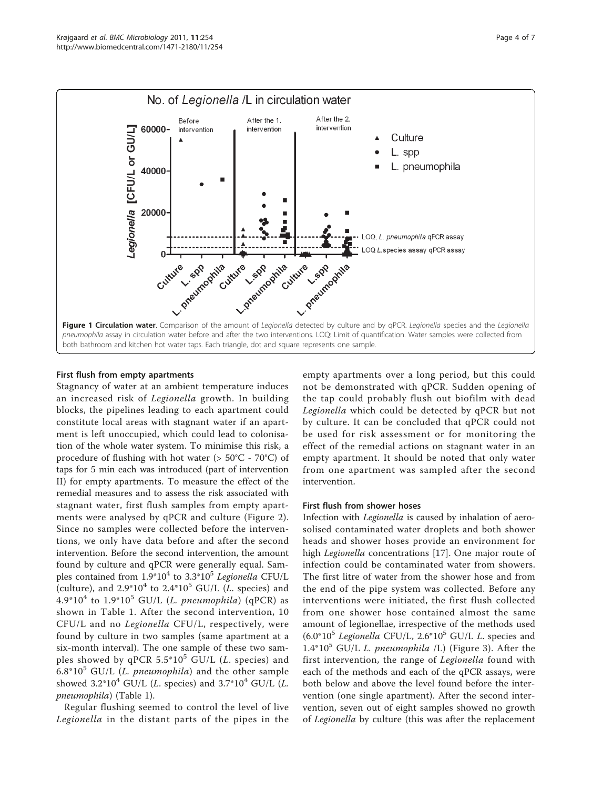<span id="page-3-0"></span>

# First flush from empty apartments

Stagnancy of water at an ambient temperature induces an increased risk of Legionella growth. In building blocks, the pipelines leading to each apartment could constitute local areas with stagnant water if an apartment is left unoccupied, which could lead to colonisation of the whole water system. To minimise this risk, a procedure of flushing with hot water ( $> 50^{\circ}$ C - 70°C) of taps for 5 min each was introduced (part of intervention II) for empty apartments. To measure the effect of the remedial measures and to assess the risk associated with stagnant water, first flush samples from empty apartments were analysed by qPCR and culture (Figure [2](#page-4-0)). Since no samples were collected before the interventions, we only have data before and after the second intervention. Before the second intervention, the amount found by culture and qPCR were generally equal. Samples contained from  $1.9*10<sup>4</sup>$  to  $3.3*10<sup>5</sup>$  *Legionella* CFU/L (culture), and  $2.9*10<sup>4</sup>$  to  $2.4*10<sup>5</sup>$  GU/L (L. species) and 4.9\*10<sup>4</sup> to 1.9\*10<sup>5</sup> GU/L (*L. pneumophila*) (qPCR) as shown in Table [1.](#page-1-0) After the second intervention, 10 CFU/L and no Legionella CFU/L, respectively, were found by culture in two samples (same apartment at a six-month interval). The one sample of these two samples showed by qPCR  $5.5^*10^5$  GU/L (L. species) and 6.8\*10<sup>5</sup> GU/L (*L. pneumophila*) and the other sample showed  $3.2^*10^4$  GU/L (L. species) and  $3.7^*10^4$  GU/L (L. pneumophila) (Table [1\)](#page-1-0).

Regular flushing seemed to control the level of live Legionella in the distant parts of the pipes in the empty apartments over a long period, but this could not be demonstrated with qPCR. Sudden opening of the tap could probably flush out biofilm with dead Legionella which could be detected by qPCR but not by culture. It can be concluded that qPCR could not be used for risk assessment or for monitoring the effect of the remedial actions on stagnant water in an empty apartment. It should be noted that only water from one apartment was sampled after the second intervention.

#### First flush from shower hoses

Infection with Legionella is caused by inhalation of aerosolised contaminated water droplets and both shower heads and shower hoses provide an environment for high Legionella concentrations [\[17](#page-6-0)]. One major route of infection could be contaminated water from showers. The first litre of water from the shower hose and from the end of the pipe system was collected. Before any interventions were initiated, the first flush collected from one shower hose contained almost the same amount of legionellae, irrespective of the methods used  $(6.0^*10^5$  Legionella CFU/L, 2.6\*10<sup>5</sup> GU/L L. species and 1.4\*10<sup>5</sup> GU/L L. pneumophila /L) (Figure [3\)](#page-4-0). After the first intervention, the range of Legionella found with each of the methods and each of the qPCR assays, were both below and above the level found before the intervention (one single apartment). After the second intervention, seven out of eight samples showed no growth of Legionella by culture (this was after the replacement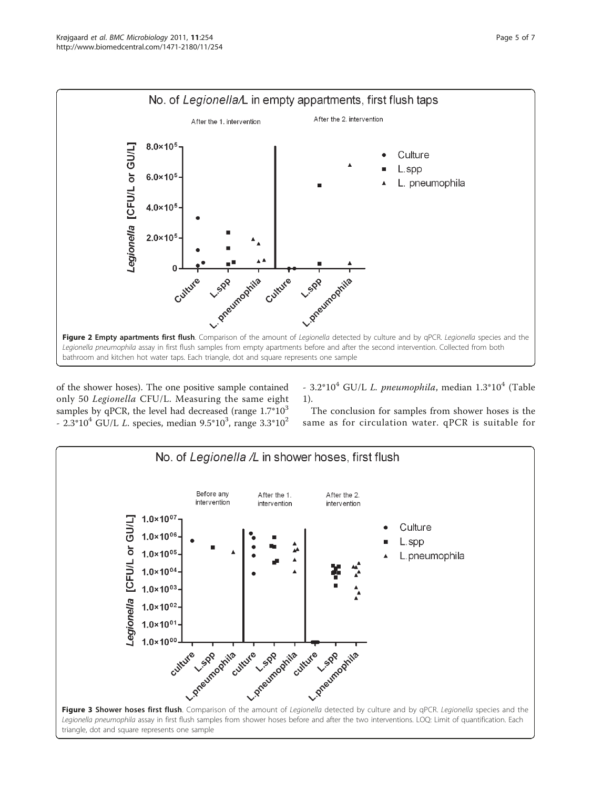<span id="page-4-0"></span>

of the shower hoses). The one positive sample contained only 50 Legionella CFU/L. Measuring the same eight samples by qPCR, the level had decreased (range  $1.7*10<sup>3</sup>$  $- 2.3*10<sup>4</sup>$  GU/L L. species, median  $9.5*10<sup>3</sup>$ , range  $3.3*10<sup>2</sup>$ 

- 3.2\*10<sup>4</sup> GU/L L. pneumophila, median  $1.3*10<sup>4</sup>$  (Table [1\)](#page-1-0).

The conclusion for samples from shower hoses is the same as for circulation water. qPCR is suitable for

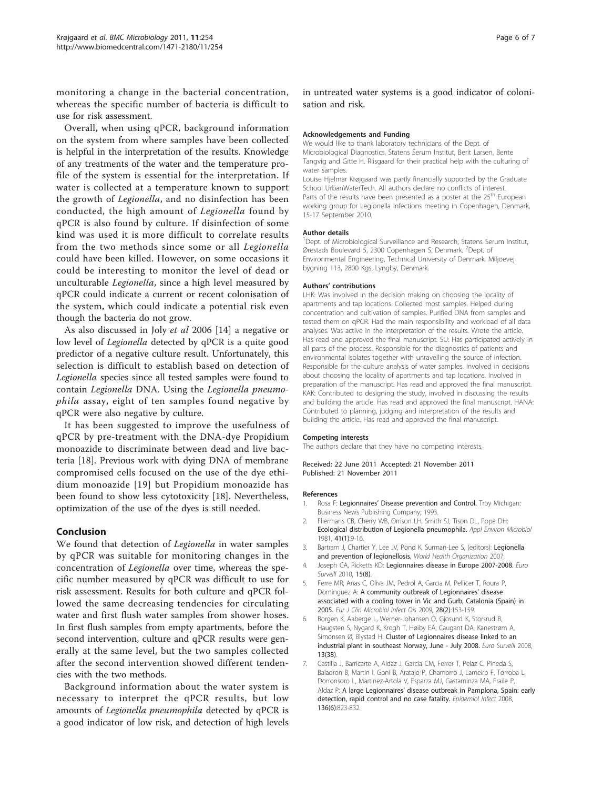<span id="page-5-0"></span>monitoring a change in the bacterial concentration, whereas the specific number of bacteria is difficult to use for risk assessment.

Overall, when using qPCR, background information on the system from where samples have been collected is helpful in the interpretation of the results. Knowledge of any treatments of the water and the temperature profile of the system is essential for the interpretation. If water is collected at a temperature known to support the growth of Legionella, and no disinfection has been conducted, the high amount of Legionella found by qPCR is also found by culture. If disinfection of some kind was used it is more difficult to correlate results from the two methods since some or all Legionella could have been killed. However, on some occasions it could be interesting to monitor the level of dead or unculturable Legionella, since a high level measured by qPCR could indicate a current or recent colonisation of the system, which could indicate a potential risk even though the bacteria do not grow.

As also discussed in Joly et al 2006 [[14\]](#page-6-0) a negative or low level of Legionella detected by qPCR is a quite good predictor of a negative culture result. Unfortunately, this selection is difficult to establish based on detection of Legionella species since all tested samples were found to contain Legionella DNA. Using the Legionella pneumophila assay, eight of ten samples found negative by qPCR were also negative by culture.

It has been suggested to improve the usefulness of qPCR by pre-treatment with the DNA-dye Propidium monoazide to discriminate between dead and live bacteria [[18\]](#page-6-0). Previous work with dying DNA of membrane compromised cells focused on the use of the dye ethidium monoazide [[19\]](#page-6-0) but Propidium monoazide has been found to show less cytotoxicity [[18\]](#page-6-0). Nevertheless, optimization of the use of the dyes is still needed.

# Conclusion

We found that detection of Legionella in water samples by qPCR was suitable for monitoring changes in the concentration of Legionella over time, whereas the specific number measured by qPCR was difficult to use for risk assessment. Results for both culture and qPCR followed the same decreasing tendencies for circulating water and first flush water samples from shower hoses. In first flush samples from empty apartments, before the second intervention, culture and qPCR results were generally at the same level, but the two samples collected after the second intervention showed different tendencies with the two methods.

Background information about the water system is necessary to interpret the qPCR results, but low amounts of Legionella pneumophila detected by qPCR is a good indicator of low risk, and detection of high levels in untreated water systems is a good indicator of colonisation and risk.

#### Acknowledgements and Funding

We would like to thank laboratory technicians of the Dept. of Microbiological Diagnostics, Statens Serum Institut, Berit Larsen, Bente Tangvig and Gitte H. Riisgaard for their practical help with the culturing of water samples.

Louise Hjelmar Krøjgaard was partly financially supported by the Graduate School UrbanWaterTech. All authors declare no conflicts of interest. Parts of the results have been presented as a poster at the 25<sup>th</sup> European working group for Legionella Infections meeting in Copenhagen, Denmark, 15-17 September 2010.

#### Author details

<sup>1</sup>Dept. of Microbiological Surveillance and Research, Statens Serum Institut, Ørestads Boulevard 5, 2300 Copenhagen S, Denmark. <sup>2</sup>Dept. of Environmental Engineering, Technical University of Denmark, Miljoevej bygning 113, 2800 Kgs. Lyngby, Denmark.

#### Authors' contributions

LHK: Was involved in the decision making on choosing the locality of apartments and tap locations. Collected most samples. Helped during concentration and cultivation of samples. Purified DNA from samples and tested them on qPCR. Had the main responsibility and workload of all data analyses. Was active in the interpretation of the results. Wrote the article. Has read and approved the final manuscript. SU: Has participated actively in all parts of the process. Responsible for the diagnostics of patients and environmental isolates together with unravelling the source of infection. Responsible for the culture analysis of water samples. Involved in decisions about choosing the locality of apartments and tap locations. Involved in preparation of the manuscript. Has read and approved the final manuscript. KAK: Contributed to designing the study, involved in discussing the results and building the article. Has read and approved the final manuscript. HANA: Contributed to planning, judging and interpretation of the results and building the article. Has read and approved the final manuscript.

#### Competing interests

The authors declare that they have no competing interests.

Received: 22 June 2011 Accepted: 21 November 2011 Published: 21 November 2011

#### References

- 1. Rosa F: Legionnaires' Disease prevention and Control. Troy Michigan: Business News Publishing Company; 1993.
- Fliermans CB, Cherry WB, Orrison LH, Smith SJ, Tison DL, Pope DH: [Ecological distribution of Legionella pneumophila.](http://www.ncbi.nlm.nih.gov/pubmed/7013702?dopt=Abstract) Appl Environ Microbiol 1981, 41(1):9-16.
- 3. Bartram J, Chartier Y, Lee JV, Pond K, Surman-Lee S, (editors): Legionella and prevention of legionellosis. World Health Organization 2007.
- 4. Joseph CA, Ricketts KD: Legionnaires disease in Europe 2007-2008. Euro Surveill 2010, 15(8).
- 5. Ferre MR, Arias C, Oliva JM, Pedrol A, Garcia M, Pellicer T, Roura P, Dominguez A: [A community outbreak of Legionnaires](http://www.ncbi.nlm.nih.gov/pubmed/18752009?dopt=Abstract)' disease [associated with a cooling tower in Vic and Gurb, Catalonia \(Spain\) in](http://www.ncbi.nlm.nih.gov/pubmed/18752009?dopt=Abstract) [2005.](http://www.ncbi.nlm.nih.gov/pubmed/18752009?dopt=Abstract) Eur J Clin Microbiol Infect Dis 2009, 28(2):153-159.
- 6. Borgen K, Aaberge L, Werner-Johansen O, Gjosund K, Storsrud B, Haugsten S, Nygard K, Krogh T, Høiby EA, Caugant DA, Kanestrøm A, Simonsen Ø, Blystad H: Cluster of Legionnaires disease linked to an industrial plant in southeast Norway, June - July 2008. Euro Surveill 2008, 13(38).
- 7. Castilla J, Barricarte A, Aldaz J, Garcia CM, Ferrer T, Pelaz C, Pineda S, Baladron B, Martin I, Goni B, Aratajo P, Chamorro J, Lameiro F, Torroba L, Dorronsoro L, Martinez-Artola V, Esparza MJ, Gastaminza MA, Fraile P, Aldaz P: A large Legionnaires' [disease outbreak in Pamplona, Spain: early](http://www.ncbi.nlm.nih.gov/pubmed/17662166?dopt=Abstract) [detection, rapid control and no case fatality.](http://www.ncbi.nlm.nih.gov/pubmed/17662166?dopt=Abstract) Epidemiol Infect 2008, 136(6):823-832.